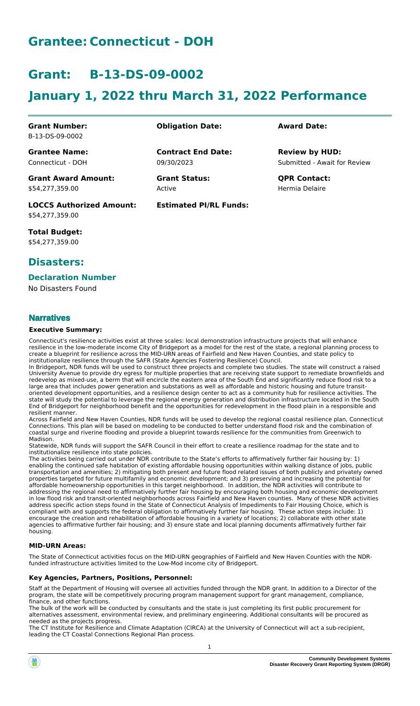# **Grantee: Connecticut - DOH**

# **Grant: B-13-DS-09-0002**

# **January 1, 2022 thru March 31, 2022 Performance**

**Contract End Date:**

**Estimated PI/RL Funds:**

09/30/2023

Active

**Grant Number:** B-13-DS-09-0002

**Grantee Name:** Connecticut - DOH

**Grant Award Amount:** \$54,277,359.00

**LOCCS Authorized Amount:** \$54,277,359.00

**Total Budget:** \$54,277,359.00

### **Disasters:**

#### **Declaration Number**

No Disasters Found

#### **Narratives**

#### **Executive Summary:**

Connecticut's resilience activities exist at three scales: local demonstration infrastructure projects that will enhance resilience in the low-moderate income City of Bridgeport as a model for the rest of the state, a regional planning process to create a blueprint for resilience across the MID-URN areas of Fairfield and New Haven Counties, and state policy to institutionalize resilience through the SAFR (State Agencies Fostering Resilience) Council.

In Bridgeport, NDR funds will be used to construct three projects and complete two studies. The state will construct a raised University Avenue to provide dry egress for multiple properties that are receiving state support to remediate brownfields and redevelop as mixed-use, a berm that will encircle the eastern area of the South End and significantly reduce flood risk to a large area that includes power generation and substations as well as affordable and historic housing and future transitoriented development opportunities, and a resilience design center to act as a community hub for resilience activities. The state will study the potential to leverage the regional energy generation and distribution infrastructure located in the South End of Bridgeport for neighborhood benefit and the opportunities for redevelopment in the flood plain in a responsible and resilient manner.

Across Fairfield and New Haven Counties, NDR funds will be used to develop the regional coastal resilience plan, Connecticut Connections. This plan will be based on modeling to be conducted to better understand flood risk and the combination of coastal surge and riverine flooding and provide a blueprint towards resilience for the communities from Greenwich to Madison.

Statewide, NDR funds will support the SAFR Council in their effort to create a resilience roadmap for the state and to institutionalize resilience into state policies.

The activities being carried out under NDR contribute to the State's efforts to affirmatively further fair housing by: 1) enabling the continued safe habitation of existing affordable housing opportunities within walking distance of jobs, public transportation and amenities; 2) mitigating both present and future flood related issues of both publicly and privately owned properties targeted for future multifamily and economic development; and 3) preserving and increasing the potential for affordable homeownership opportunities in this target neighborhood. In addition, the NDR activities will contribute to addressing the regional need to affirmatively further fair housing by encouraging both housing and economic development in low flood risk and transit-oriented neighborhoods across Fairfield and New Haven counties. Many of these NDR activities address specific action steps found in the State of Connecticut Analysis of Impediments to Fair Housing Choice, which is compliant with and supports the federal obligation to affirmatively further fair housing. These action steps include: 1) encourage the creation and rehabilitation of affordable housing in a variety of locations; 2) collaborate with other state agencies to affirmative further fair housing; and 3) ensure state and local planning documents affirmatively further fair housing.

#### **MID-URN Areas:**

The State of Connecticut activities focus on the MID-URN geographies of Fairfield and New Haven Counties with the NDRfunded infrastructure activities limited to the Low-Mod income city of Bridgeport.

#### **Key Agencies, Partners, Positions, Personnel:**

Staff at the Department of Housing will oversee all activities funded through the NDR grant. In addition to a Director of the program, the state will be competitively procuring program management support for grant management, compliance, finance, and other functions.

The bulk of the work will be conducted by consultants and the state is just completing its first public procurement for alternatives assessment, environmental review, and preliminary engineering. Additional consultants will be procured as needed as the projects progress.

The CT Institute for Resilience and Climate Adaptation (CIRCA) at the University of Connecticut will act a sub-recipient, leading the CT Coastal Connections Regional Plan process.



Submitted - Await for Review **Review by HUD:**

**Grant Status: QPR Contact:** Hermia Delaire

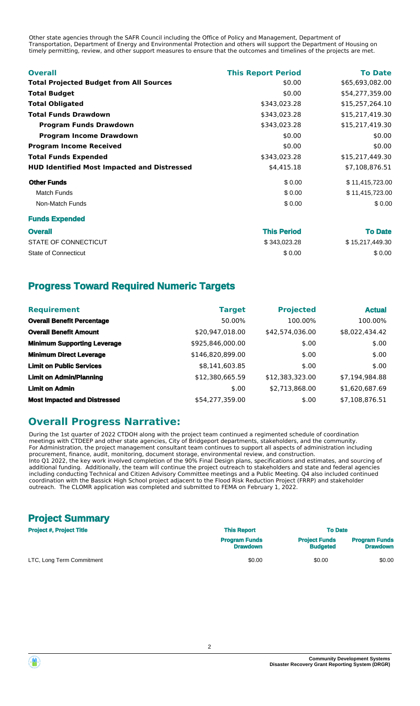Other state agencies through the SAFR Council including the Office of Policy and Management, Department of Transportation, Department of Energy and Environmental Protection and others will support the Department of Housing on timely permitting, review, and other support measures to ensure that the outcomes and timelines of the projects are met.

| <b>Overall</b>                                     | <b>This Report Period</b> | <b>To Date</b>  |
|----------------------------------------------------|---------------------------|-----------------|
| <b>Total Projected Budget from All Sources</b>     | \$0.00                    | \$65,693,082.00 |
| <b>Total Budget</b>                                | \$0.00                    | \$54,277,359.00 |
| <b>Total Obligated</b>                             | \$343,023.28              | \$15,257,264.10 |
| <b>Total Funds Drawdown</b>                        | \$343,023.28              | \$15,217,419.30 |
| <b>Program Funds Drawdown</b>                      | \$343,023.28              | \$15,217,419.30 |
| <b>Program Income Drawdown</b>                     | \$0.00                    | \$0.00          |
| <b>Program Income Received</b>                     | \$0.00                    | \$0.00          |
| <b>Total Funds Expended</b>                        | \$343,023.28              | \$15,217,449.30 |
| <b>HUD Identified Most Impacted and Distressed</b> | \$4,415.18                | \$7,108,876.51  |
| <b>Other Funds</b>                                 | \$0.00                    | \$11,415,723.00 |
| <b>Match Funds</b>                                 | \$0.00                    | \$11,415,723.00 |
| Non-Match Funds                                    | \$0.00                    | \$0.00          |
| <b>Funds Expended</b>                              |                           |                 |
| <b>Overall</b>                                     | <b>Thie Pariod</b>        | To Date         |

| <b>Overall</b>       | <b>This Period</b> | <b>To Date</b>  |
|----------------------|--------------------|-----------------|
| STATE OF CONNECTICUT | \$343,023.28       | \$15,217,449.30 |
| State of Connecticut | \$0.00             | \$0.00          |

### **Progress Toward Required Numeric Targets**

| <b>Requirement</b>                  | <b>Target</b>    | <b>Projected</b> | <b>Actual</b>  |
|-------------------------------------|------------------|------------------|----------------|
| <b>Overall Benefit Percentage</b>   | 50.00%           | 100.00%          | 100.00%        |
| <b>Overall Benefit Amount</b>       | \$20,947,018.00  | \$42,574,036.00  | \$8,022,434.42 |
| <b>Minimum Supporting Leverage</b>  | \$925,846,000.00 | \$.00            | \$.00          |
| <b>Minimum Direct Leverage</b>      | \$146,820,899.00 | \$.00            | \$.00          |
| <b>Limit on Public Services</b>     | \$8,141,603.85   | \$.00            | \$.00          |
| <b>Limit on Admin/Planning</b>      | \$12,380,665.59  | \$12,383,323.00  | \$7,194,984.88 |
| <b>Limit on Admin</b>               | \$.00            | \$2,713,868.00   | \$1,620,687.69 |
| <b>Most Impacted and Distressed</b> | \$54,277,359.00  | \$.00            | \$7,108,876.51 |

### **Overall Progress Narrative:**

During the 1st quarter of 2022 CTDOH along with the project team continued a regimented schedule of coordination meetings with CTDEEP and other state agencies, City of Bridgeport departments, stakeholders, and the community. For Administration, the project management consultant team continues to support all aspects of administration including procurement, finance, audit, monitoring, document storage, environmental review, and construction. Into Q1 2022, the key work involved completion of the 90% Final Design plans, specifications and estimates, and sourcing of additional funding. Additionally, the team will continue the project outreach to stakeholders and state and federal agencies including conducting Technical and Citizen Advisory Committee meetings and a Public Meeting. Q4 also included continued coordination with the Bassick High School project adjacent to the Flood Risk Reduction Project (FRRP) and stakeholder outreach. The CLOMR application was completed and submitted to FEMA on February 1, 2022.

# **Project Summary**

| <b>Project #, Project Title</b> | <b>This Report</b>                      |                                         | <b>To Date</b>                          |  |
|---------------------------------|-----------------------------------------|-----------------------------------------|-----------------------------------------|--|
|                                 | <b>Program Funds</b><br><b>Drawdown</b> | <b>Project Funds</b><br><b>Budgeted</b> | <b>Program Funds</b><br><b>Drawdown</b> |  |
| LTC, Long Term Commitment       | \$0.00                                  | \$0.00                                  | \$0.00                                  |  |

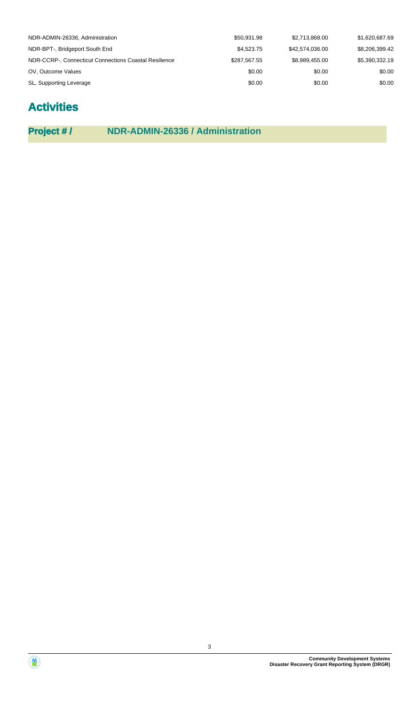| NDR-ADMIN-26336, Administration                       | \$50,931.98  | \$2,713,868.00  | \$1,620,687.69 |
|-------------------------------------------------------|--------------|-----------------|----------------|
| NDR-BPT-, Bridgeport South End                        | \$4,523.75   | \$42,574,036.00 | \$8,206,399.42 |
| NDR-CCRP-, Connecticut Connections Coastal Resilience | \$287.567.55 | \$8.989.455.00  | \$5.390.332.19 |
| OV, Outcome Values                                    | \$0.00       | \$0.00          | \$0.00         |
| SL, Supporting Leverage                               | \$0.00       | \$0.00          | \$0.00         |

# **Activities**

**Project # / NDR-ADMIN-26336 / Administration**

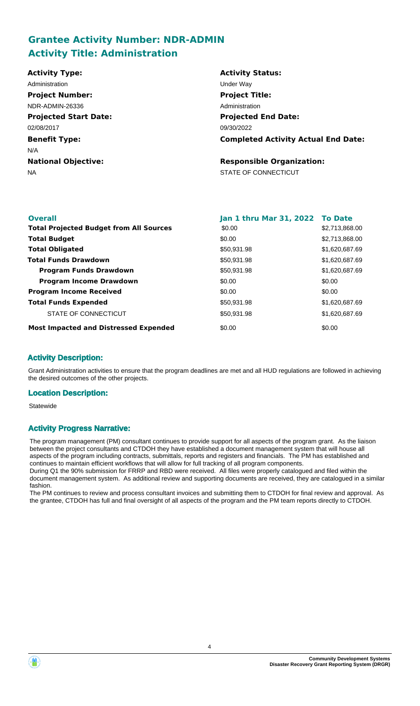# **Grantee Activity Number: NDR-ADMIN Activity Title: Administration**

| <b>Activity Type:</b>        | <b>Activity Status:</b>                    |
|------------------------------|--------------------------------------------|
| Administration               | Under Way                                  |
| <b>Project Number:</b>       | <b>Project Title:</b>                      |
| NDR-ADMIN-26336              | Administration                             |
| <b>Projected Start Date:</b> | <b>Projected End Date:</b>                 |
| 02/08/2017                   | 09/30/2022                                 |
| <b>Benefit Type:</b>         | <b>Completed Activity Actual End Date:</b> |
| N/A                          |                                            |
| <b>National Objective:</b>   | <b>Responsible Organization:</b>           |
| <b>NA</b>                    | STATE OF CONNECTICUT                       |
|                              |                                            |
|                              |                                            |

| <b>Overall</b>                                 | Jan 1 thru Mar 31, 2022 To Date |                |
|------------------------------------------------|---------------------------------|----------------|
| <b>Total Projected Budget from All Sources</b> | \$0.00                          | \$2,713,868.00 |
| <b>Total Budget</b>                            | \$0.00                          | \$2,713,868.00 |
| <b>Total Obligated</b>                         | \$50,931.98                     | \$1,620,687.69 |
| <b>Total Funds Drawdown</b>                    | \$50,931.98                     | \$1,620,687.69 |
| <b>Program Funds Drawdown</b>                  | \$50,931.98                     | \$1,620,687.69 |
| <b>Program Income Drawdown</b>                 | \$0.00                          | \$0.00         |
| <b>Program Income Received</b>                 | \$0.00                          | \$0.00         |
| <b>Total Funds Expended</b>                    | \$50,931.98                     | \$1,620,687.69 |
| STATE OF CONNECTICUT                           | \$50,931.98                     | \$1,620,687.69 |
| <b>Most Impacted and Distressed Expended</b>   | \$0.00                          | \$0.00         |

#### **Activity Description:**

Grant Administration activities to ensure that the program deadlines are met and all HUD regulations are followed in achieving the desired outcomes of the other projects.

#### **Location Description:**

Statewide

#### **Activity Progress Narrative:**

The program management (PM) consultant continues to provide support for all aspects of the program grant. As the liaison between the project consultants and CTDOH they have established a document management system that will house all aspects of the program including contracts, submittals, reports and registers and financials. The PM has established and continues to maintain efficient workflows that will allow for full tracking of all program components.

During Q1 the 90% submission for FRRP and RBD were received. All files were properly catalogued and filed within the document management system. As additional review and supporting documents are received, they are catalogued in a similar fashion.

The PM continues to review and process consultant invoices and submitting them to CTDOH for final review and approval. As the grantee, CTDOH has full and final oversight of all aspects of the program and the PM team reports directly to CTDOH.

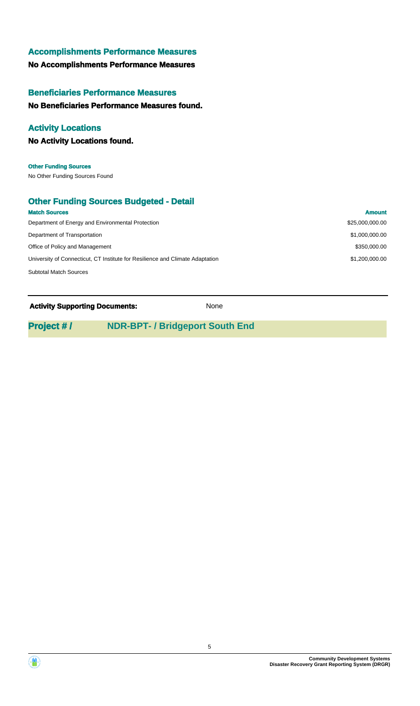#### **Accomplishments Performance Measures**

### **No Accomplishments Performance Measures**

### **Beneficiaries Performance Measures**

### **No Beneficiaries Performance Measures found.**

### **Activity Locations**

**No Activity Locations found.**

No Other Funding Sources Found **Other Funding Sources**

### **Other Funding Sources Budgeted - Detail**

| <b>Match Sources</b>                                                          | <b>Amount</b>   |
|-------------------------------------------------------------------------------|-----------------|
| Department of Energy and Environmental Protection                             | \$25,000,000.00 |
| Department of Transportation                                                  | \$1,000,000,00  |
| Office of Policy and Management                                               | \$350,000,00    |
| University of Connecticut, CT Institute for Resilience and Climate Adaptation | \$1,200,000,00  |
| <b>Subtotal Match Sources</b>                                                 |                 |

#### **Activity Supporting Documents:** None

### **Project # / NDR-BPT- / Bridgeport South End**



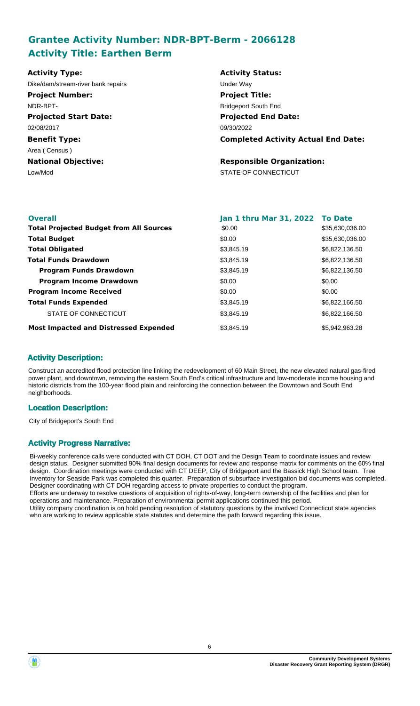# **Grantee Activity Number: NDR-BPT-Berm - 2066128 Activity Title: Earthen Berm**

| <b>Activity Type:</b>              | <b>Activity Status:</b>                    |
|------------------------------------|--------------------------------------------|
| Dike/dam/stream-river bank repairs | Under Way                                  |
| <b>Project Number:</b>             | <b>Project Title:</b>                      |
| NDR-BPT-                           | <b>Bridgeport South End</b>                |
| <b>Projected Start Date:</b>       | <b>Projected End Date:</b>                 |
| 02/08/2017                         | 09/30/2022                                 |
| <b>Benefit Type:</b>               | <b>Completed Activity Actual End Date:</b> |
| Area (Census)                      |                                            |
| <b>National Objective:</b>         | <b>Responsible Organization:</b>           |
| Low/Mod                            | STATE OF CONNECTICUT                       |
|                                    |                                            |

| <b>Overall</b>                                 | Jan 1 thru Mar 31, 2022 To Date |                 |
|------------------------------------------------|---------------------------------|-----------------|
| <b>Total Projected Budget from All Sources</b> | \$0.00                          | \$35,630,036.00 |
| <b>Total Budget</b>                            | \$0.00                          | \$35,630,036.00 |
| <b>Total Obligated</b>                         | \$3,845.19                      | \$6,822,136.50  |
| <b>Total Funds Drawdown</b>                    | \$3,845.19                      | \$6,822,136.50  |
| <b>Program Funds Drawdown</b>                  | \$3,845.19                      | \$6,822,136.50  |
| <b>Program Income Drawdown</b>                 | \$0.00                          | \$0.00          |
| <b>Program Income Received</b>                 | \$0.00                          | \$0.00          |
| <b>Total Funds Expended</b>                    | \$3,845.19                      | \$6,822,166.50  |
| STATE OF CONNECTICUT                           | \$3.845.19                      | \$6.822,166.50  |
| <b>Most Impacted and Distressed Expended</b>   | \$3,845.19                      | \$5.942.963.28  |

#### **Activity Description:**

Construct an accredited flood protection line linking the redevelopment of 60 Main Street, the new elevated natural gas-fired power plant, and downtown, removing the eastern South End's critical infrastructure and low-moderate income housing and historic districts from the 100-year flood plain and reinforcing the connection between the Downtown and South End neighborhoods.

#### **Location Description:**

City of Bridgeport's South End

#### **Activity Progress Narrative:**

Bi-weekly conference calls were conducted with CT DOH, CT DOT and the Design Team to coordinate issues and review design status. Designer submitted 90% final design documents for review and response matrix for comments on the 60% final design. Coordination meetings were conducted with CT DEEP, City of Bridgeport and the Bassick High School team. Tree Inventory for Seaside Park was completed this quarter. Preparation of subsurface investigation bid documents was completed. Designer coordinating with CT DOH regarding access to private properties to conduct the program. Efforts are underway to resolve questions of acquisition of rights-of-way, long-term ownership of the facilities and plan for operations and maintenance. Preparation of environmental permit applications continued this period. Utility company coordination is on hold pending resolution of statutory questions by the involved Connecticut state agencies who are working to review applicable state statutes and determine the path forward regarding this issue.



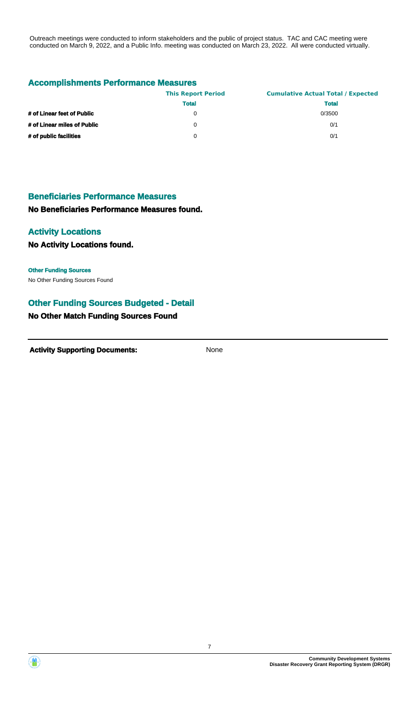Outreach meetings were conducted to inform stakeholders and the public of project status. TAC and CAC meeting were conducted on March 9, 2022, and a Public Info. meeting was conducted on March 23, 2022. All were conducted virtually.

#### **Accomplishments Performance Measures**

|                             | <b>This Report Period</b> | <b>Cumulative Actual Total / Expected</b> |
|-----------------------------|---------------------------|-------------------------------------------|
|                             | <b>Total</b>              | <b>Total</b>                              |
| # of Linear feet of Public  | $\Omega$                  | 0/3500                                    |
| # of Linear miles of Public | 0                         | 0/1                                       |
| # of public facilities      | 0                         | 0/1                                       |

#### **Beneficiaries Performance Measures**

**No Beneficiaries Performance Measures found.**

#### **Activity Locations**

**No Activity Locations found.**

### **Other Funding Sources**

No Other Funding Sources Found

#### **Other Funding Sources Budgeted - Detail**

#### **No Other Match Funding Sources Found**

**Activity Supporting Documents:** None



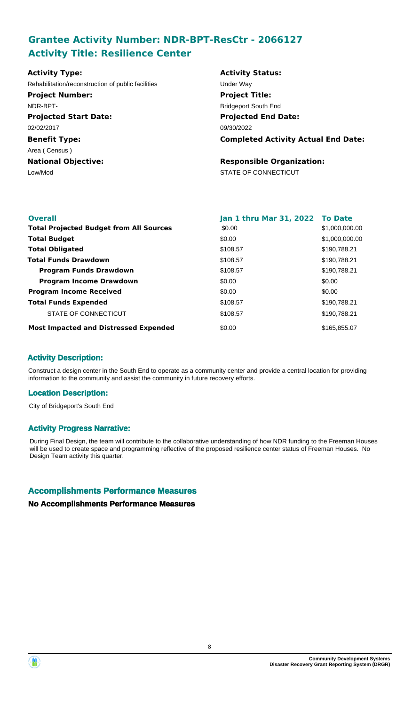# **Grantee Activity Number: NDR-BPT-ResCtr - 2066127 Activity Title: Resilience Center**

| <b>Activity Type:</b>                              | <b>Activity Status:</b>                    |
|----------------------------------------------------|--------------------------------------------|
| Rehabilitation/reconstruction of public facilities | Under Way                                  |
| <b>Project Number:</b>                             | <b>Project Title:</b>                      |
| NDR-BPT-                                           | <b>Bridgeport South End</b>                |
| <b>Projected Start Date:</b>                       | <b>Projected End Date:</b>                 |
| 02/02/2017                                         | 09/30/2022                                 |
| <b>Benefit Type:</b>                               | <b>Completed Activity Actual End Date:</b> |
| Area (Census)                                      |                                            |
| <b>National Objective:</b>                         | <b>Responsible Organization:</b>           |
| Low/Mod                                            | STATE OF CONNECTICUT                       |
|                                                    |                                            |
|                                                    |                                            |

| <b>Overall</b>                                 | Jan 1 thru Mar 31, 2022 To Date |                |
|------------------------------------------------|---------------------------------|----------------|
| <b>Total Projected Budget from All Sources</b> | \$0.00                          | \$1,000,000.00 |
| <b>Total Budget</b>                            | \$0.00                          | \$1,000,000.00 |
| <b>Total Obligated</b>                         | \$108.57                        | \$190.788.21   |
| <b>Total Funds Drawdown</b>                    | \$108.57                        | \$190,788.21   |
| <b>Program Funds Drawdown</b>                  | \$108.57                        | \$190,788.21   |
| <b>Program Income Drawdown</b>                 | \$0.00                          | \$0.00         |
| <b>Program Income Received</b>                 | \$0.00                          | \$0.00         |
| <b>Total Funds Expended</b>                    | \$108.57                        | \$190,788.21   |
| STATE OF CONNECTICUT                           | \$108.57                        | \$190,788.21   |
| <b>Most Impacted and Distressed Expended</b>   | \$0.00                          | \$165,855,07   |

#### **Activity Description:**

Construct a design center in the South End to operate as a community center and provide a central location for providing information to the community and assist the community in future recovery efforts.

#### **Location Description:**

City of Bridgeport's South End

#### **Activity Progress Narrative:**

During Final Design, the team will contribute to the collaborative understanding of how NDR funding to the Freeman Houses will be used to create space and programming reflective of the proposed resilience center status of Freeman Houses. No Design Team activity this quarter.

#### **Accomplishments Performance Measures**

#### **No Accomplishments Performance Measures**



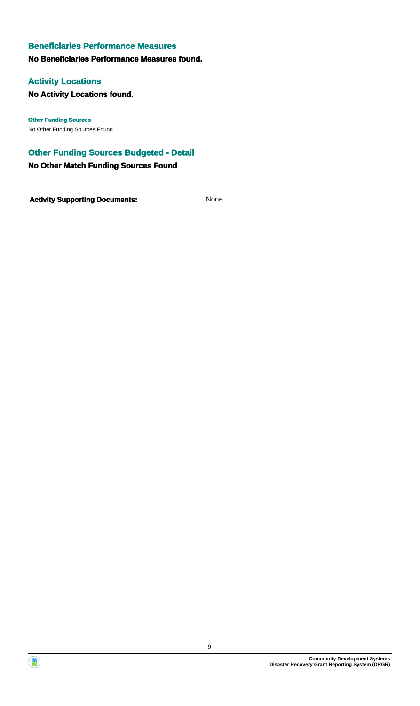#### **Beneficiaries Performance Measures**

#### **No Beneficiaries Performance Measures found.**

#### **Activity Locations**

**No Activity Locations found.**

No Other Funding Sources Found **Other Funding Sources**

# **Other Funding Sources Budgeted - Detail**

**No Other Match Funding Sources Found**

**Activity Supporting Documents:** None



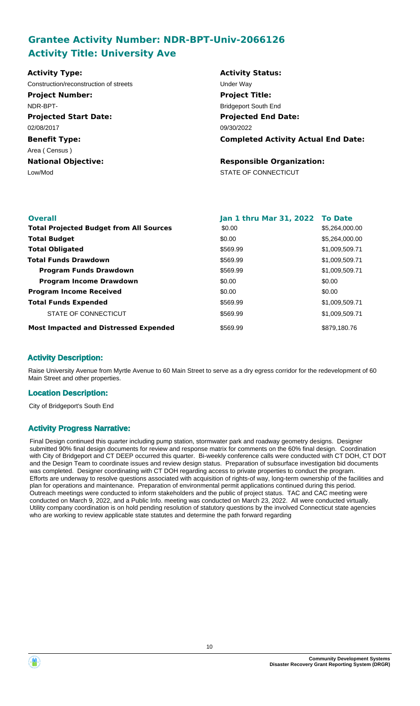# **Grantee Activity Number: NDR-BPT-Univ-2066126 Activity Title: University Ave**

| <b>Activity Type:</b>                  | <b>Activity Status:</b>                    |
|----------------------------------------|--------------------------------------------|
| Construction/reconstruction of streets | Under Way                                  |
| <b>Project Number:</b>                 | <b>Project Title:</b>                      |
| NDR-BPT-                               | <b>Bridgeport South End</b>                |
| <b>Projected Start Date:</b>           | <b>Projected End Date:</b>                 |
| 02/08/2017                             | 09/30/2022                                 |
| <b>Benefit Type:</b>                   | <b>Completed Activity Actual End Date:</b> |
| Area (Census)                          |                                            |
| <b>National Objective:</b>             | <b>Responsible Organization:</b>           |
| Low/Mod                                | STATE OF CONNECTICUT                       |
|                                        |                                            |
|                                        |                                            |

| <b>Overall</b>                                 | Jan 1 thru Mar 31, 2022 To Date |                |
|------------------------------------------------|---------------------------------|----------------|
| <b>Total Projected Budget from All Sources</b> | \$0.00                          | \$5,264,000,00 |
| <b>Total Budget</b>                            | \$0.00                          | \$5,264,000.00 |
| <b>Total Obligated</b>                         | \$569.99                        | \$1,009,509.71 |
| <b>Total Funds Drawdown</b>                    | \$569.99                        | \$1,009,509.71 |
| <b>Program Funds Drawdown</b>                  | \$569.99                        | \$1,009,509.71 |
| <b>Program Income Drawdown</b>                 | \$0.00                          | \$0.00         |
| <b>Program Income Received</b>                 | \$0.00                          | \$0.00         |
| <b>Total Funds Expended</b>                    | \$569.99                        | \$1,009,509.71 |
| STATE OF CONNECTICUT                           | \$569.99                        | \$1,009,509.71 |
| <b>Most Impacted and Distressed Expended</b>   | \$569.99                        | \$879,180.76   |

#### **Activity Description:**

Raise University Avenue from Myrtle Avenue to 60 Main Street to serve as a dry egress corridor for the redevelopment of 60 Main Street and other properties.

#### **Location Description:**

City of Bridgeport's South End

#### **Activity Progress Narrative:**

Final Design continued this quarter including pump station, stormwater park and roadway geometry designs. Designer submitted 90% final design documents for review and response matrix for comments on the 60% final design. Coordination with City of Bridgeport and CT DEEP occurred this quarter. Bi-weekly conference calls were conducted with CT DOH, CT DOT and the Design Team to coordinate issues and review design status. Preparation of subsurface investigation bid documents was completed. Designer coordinating with CT DOH regarding access to private properties to conduct the program. Efforts are underway to resolve questions associated with acquisition of rights-of way, long-term ownership of the facilities and plan for operations and maintenance. Preparation of environmental permit applications continued during this period. Outreach meetings were conducted to inform stakeholders and the public of project status. TAC and CAC meeting were conducted on March 9, 2022, and a Public Info. meeting was conducted on March 23, 2022. All were conducted virtually. Utility company coordination is on hold pending resolution of statutory questions by the involved Connecticut state agencies who are working to review applicable state statutes and determine the path forward regarding

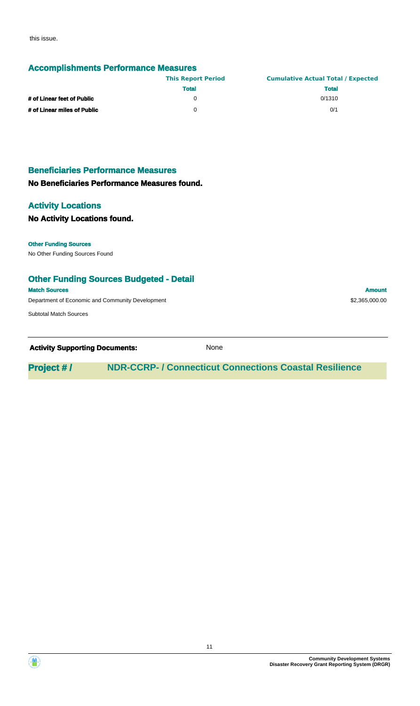this issue.

#### **Accomplishments Performance Measures**

|                             | <b>This Report Period</b> | <b>Cumulative Actual Total / Expected</b> |
|-----------------------------|---------------------------|-------------------------------------------|
|                             | <b>Total</b>              | <b>Total</b>                              |
| # of Linear feet of Public  |                           | 0/1310                                    |
| # of Linear miles of Public |                           | 0/1                                       |

# **Beneficiaries Performance Measures**

### **No Beneficiaries Performance Measures found.**

#### **Activity Locations**

#### **No Activity Locations found.**

#### **Other Funding Sources**

No Other Funding Sources Found

#### **Other Funding Sources Budgeted - Detail**

**Match Sources Amount** 

Department of Economic and Community Development  $$2,365,000.00$ 

Subtotal Match Sources

**Activity Supporting Documents:** None

**Project # / NDR-CCRP- / Connecticut Connections Coastal Resilience**



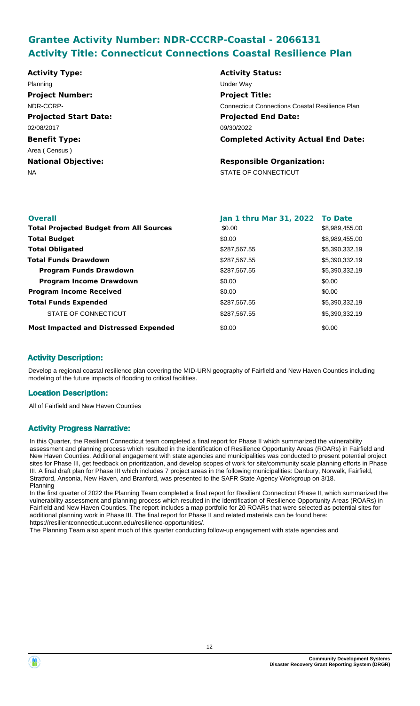# **Grantee Activity Number: NDR-CCCRP-Coastal - 2066131 Activity Title: Connecticut Connections Coastal Resilience Plan**

**Projected Start Date: Benefit Type:** NA STATE OF CONNECTICUT **National Objective: Activity Status: Projected End Date: Completed Activity Actual End Date: Activity Type:** 09/30/2022 02/08/2017 Area ( Census ) **Responsible Organization:** Planning Under Way **Project Number:** NDR-CCRP-**Project Title:** Connecticut Connections Coastal Resilience Plan

| <b>Overall</b>                                 | Jan 1 thru Mar 31, 2022 To Date |                |
|------------------------------------------------|---------------------------------|----------------|
| <b>Total Projected Budget from All Sources</b> | \$0.00                          | \$8,989,455.00 |
| <b>Total Budget</b>                            | \$0.00                          | \$8,989,455.00 |
| <b>Total Obligated</b>                         | \$287,567.55                    | \$5,390,332.19 |
| <b>Total Funds Drawdown</b>                    | \$287,567.55                    | \$5,390,332.19 |
| <b>Program Funds Drawdown</b>                  | \$287,567.55                    | \$5,390,332.19 |
| <b>Program Income Drawdown</b>                 | \$0.00                          | \$0.00         |
| <b>Program Income Received</b>                 | \$0.00                          | \$0.00         |
| <b>Total Funds Expended</b>                    | \$287,567.55                    | \$5,390,332.19 |
| STATE OF CONNECTICUT                           | \$287,567.55                    | \$5,390,332.19 |
| <b>Most Impacted and Distressed Expended</b>   | \$0.00                          | \$0.00         |

### **Activity Description:**

Develop a regional coastal resilience plan covering the MID-URN geography of Fairfield and New Haven Counties including modeling of the future impacts of flooding to critical facilities.

#### **Location Description:**

All of Fairfield and New Haven Counties

#### **Activity Progress Narrative:**

In this Quarter, the Resilient Connecticut team completed a final report for Phase II which summarized the vulnerability assessment and planning process which resulted in the identification of Resilience Opportunity Areas (ROARs) in Fairfield and New Haven Counties. Additional engagement with state agencies and municipalities was conducted to present potential project sites for Phase III, get feedback on prioritization, and develop scopes of work for site/community scale planning efforts in Phase III. A final draft plan for Phase III which includes 7 project areas in the following municipalities: Danbury, Norwalk, Fairfield, Stratford, Ansonia, New Haven, and Branford, was presented to the SAFR State Agency Workgroup on 3/18. Planning

In the first quarter of 2022 the Planning Team completed a final report for Resilient Connecticut Phase II, which summarized the vulnerability assessment and planning process which resulted in the identification of Resilience Opportunity Areas (ROARs) in Fairfield and New Haven Counties. The report includes a map portfolio for 20 ROARs that were selected as potential sites for additional planning work in Phase III. The final report for Phase II and related materials can be found here: https://resilientconnecticut.uconn.edu/resilience-opportunities/.

The Planning Team also spent much of this quarter conducting follow-up engagement with state agencies and

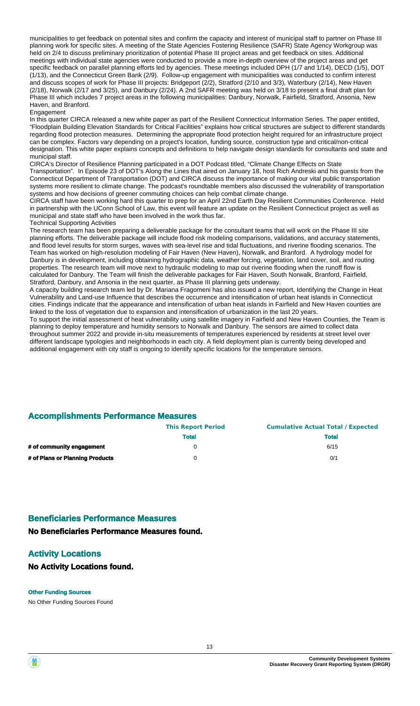municipalities to get feedback on potential sites and confirm the capacity and interest of municipal staff to partner on Phase III planning work for specific sites. A meeting of the State Agencies Fostering Resilience (SAFR) State Agency Workgroup was held on 2/4 to discuss preliminary prioritization of potential Phase III project areas and get feedback on sites. Additional meetings with individual state agencies were conducted to provide a more in-depth overview of the project areas and get specific feedback on parallel planning efforts led by agencies. These meetings included DPH (1/7 and 1/14), DECD (1/5), DOT (1/13), and the Connecticut Green Bank (2/9). Follow-up engagement with municipalities was conducted to confirm interest and discuss scopes of work for Phase III projects: Bridgeport (2/2), Stratford (2/10 and 3/3), Waterbury (2/14), New Haven (2/18), Norwalk (2/17 and 3/25), and Danbury (2/24). A 2nd SAFR meeting was held on 3/18 to present a final draft plan for Phase III which includes 7 project areas in the following municipalities: Danbury, Norwalk, Fairfield, Stratford, Ansonia, New Haven, and Branford.

#### **Engagement**

In this quarter CIRCA released a new white paper as part of the Resilient Connecticut Information Series. The paper entitled, "Floodplain Building Elevation Standards for Critical Facilities" explains how critical structures are subject to different standards regarding flood protection measures. Determining the appropriate flood protection height required for an infrastructure project can be complex. Factors vary depending on a project's location, funding source, construction type and critical/non-critical designation. This white paper explains concepts and definitions to help navigate design standards for consultants and state and municipal staff.

CIRCA's Director of Resilience Planning participated in a DOT Podcast titled, "Climate Change Effects on State Transportation". In Episode 23 of DOT's Along the Lines that aired on January 18, host Rich Andreski and his guests from the Connecticut Department of Transportation (DOT) and CIRCA discuss the importance of making our vital public transportation systems more resilient to climate change. The podcast's roundtable members also discussed the vulnerability of transportation systems and how decisions of greener commuting choices can help combat climate change.

CIRCA staff have been working hard this quarter to prep for an April 22nd Earth Day Resilient Communities Conference. Held in partnership with the UConn School of Law, this event will feature an update on the Resilient Connecticut project as well as municipal and state staff who have been involved in the work thus far.

Technical Supporting Activities

The research team has been preparing a deliverable package for the consultant teams that will work on the Phase III site planning efforts. The deliverable package will include flood risk modeling comparisons, validations, and accuracy statements, and flood level results for storm surges, waves with sea-level rise and tidal fluctuations, and riverine flooding scenarios. The Team has worked on high-resolution modeling of Fair Haven (New Haven), Norwalk, and Branford. A hydrology model for Danbury is in development, including obtaining hydrographic data, weather forcing, vegetation, land cover, soil, and routing properties. The research team will move next to hydraulic modeling to map out riverine flooding when the runoff flow is calculated for Danbury. The Team will finish the deliverable packages for Fair Haven, South Norwalk, Branford, Fairfield, Stratford, Danbury, and Ansonia in the next quarter, as Phase III planning gets underway.

A capacity building research team led by Dr. Mariana Fragomeni has also issued a new report, Identifying the Change in Heat Vulnerability and Land-use Influence that describes the occurrence and intensification of urban heat islands in Connecticut cities. Findings indicate that the appearance and intensification of urban heat islands in Fairfield and New Haven counties are linked to the loss of vegetation due to expansion and intensification of urbanization in the last 20 years.

To support the initial assessment of heat vulnerability using satellite imagery in Fairfield and New Haven Counties, the Team is planning to deploy temperature and humidity sensors to Norwalk and Danbury. The sensors are aimed to collect data throughout summer 2022 and provide in-situ measurements of temperatures experienced by residents at street level over different landscape typologies and neighborhoods in each city. A field deployment plan is currently being developed and additional engagement with city staff is ongoing to identify specific locations for the temperature sensors.

#### **Accomplishments Performance Measures**

|                                 | <b>This Report Period</b><br><b>Total</b> | <b>Cumulative Actual Total / Expected</b> |  |
|---------------------------------|-------------------------------------------|-------------------------------------------|--|
|                                 |                                           | <b>Total</b>                              |  |
| # of community engagement       |                                           | 6/15                                      |  |
| # of Plans or Planning Products |                                           | 0/1                                       |  |

#### **Beneficiaries Performance Measures**

**No Beneficiaries Performance Measures found.**

#### **Activity Locations**

#### **No Activity Locations found.**

#### **Other Funding Sources**

No Other Funding Sources Found